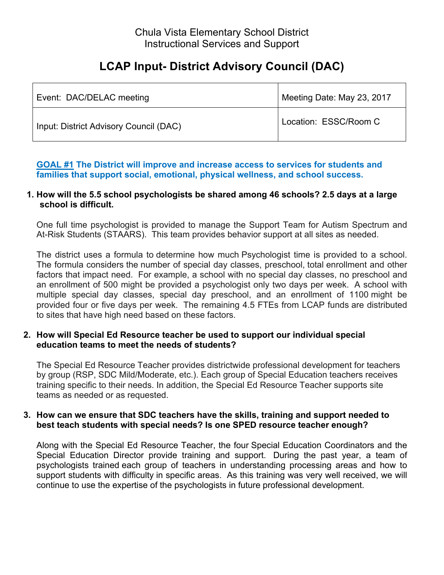# Chula Vista Elementary School District Instructional Services and Support

# **LCAP Input- District Advisory Council (DAC)**

| Event: DAC/DELAC meeting               | Meeting Date: May 23, 2017 |
|----------------------------------------|----------------------------|
| Input: District Advisory Council (DAC) | Location: ESSC/Room C      |

**GOAL #1 The District will improve and increase access to services for students and families that support social, emotional, physical wellness, and school success.**

## **1. How will the 5.5 school psychologists be shared among 46 schools? 2.5 days at a large school is difficult.**

One full time psychologist is provided to manage the Support Team for Autism Spectrum and At-Risk Students (STAARS). This team provides behavior support at all sites as needed.

The district uses a formula to determine how much Psychologist time is provided to a school. The formula considers the number of special day classes, preschool, total enrollment and other factors that impact need. For example, a school with no special day classes, no preschool and an enrollment of 500 might be provided a psychologist only two days per week. A school with multiple special day classes, special day preschool, and an enrollment of 1100 might be provided four or five days per week. The remaining 4.5 FTEs from LCAP funds are distributed to sites that have high need based on these factors.

## **2. How will Special Ed Resource teacher be used to support our individual special education teams to meet the needs of students?**

The Special Ed Resource Teacher provides districtwide professional development for teachers by group (RSP, SDC Mild/Moderate, etc.). Each group of Special Education teachers receives training specific to their needs. In addition, the Special Ed Resource Teacher supports site teams as needed or as requested.

## **3. How can we ensure that SDC teachers have the skills, training and support needed to best teach students with special needs? Is one SPED resource teacher enough?**

Along with the Special Ed Resource Teacher, the four Special Education Coordinators and the Special Education Director provide training and support. During the past year, a team of psychologists trained each group of teachers in understanding processing areas and how to support students with difficulty in specific areas. As this training was very well received, we will continue to use the expertise of the psychologists in future professional development.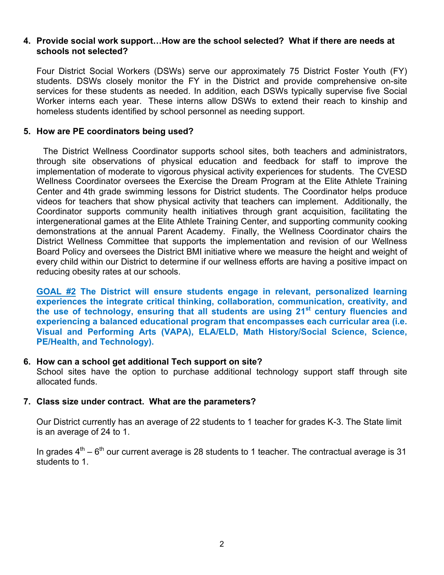#### **4. Provide social work support…How are the school selected? What if there are needs at schools not selected?**

Four District Social Workers (DSWs) serve our approximately 75 District Foster Youth (FY) students. DSWs closely monitor the FY in the District and provide comprehensive on-site services for these students as needed. In addition, each DSWs typically supervise five Social Worker interns each year. These interns allow DSWs to extend their reach to kinship and homeless students identified by school personnel as needing support.

# **5. How are PE coordinators being used?**

The District Wellness Coordinator supports school sites, both teachers and administrators, through site observations of physical education and feedback for staff to improve the implementation of moderate to vigorous physical activity experiences for students. The CVESD Wellness Coordinator oversees the Exercise the Dream Program at the Elite Athlete Training Center and 4th grade swimming lessons for District students. The Coordinator helps produce videos for teachers that show physical activity that teachers can implement. Additionally, the Coordinator supports community health initiatives through grant acquisition, facilitating the intergenerational games at the Elite Athlete Training Center, and supporting community cooking demonstrations at the annual Parent Academy. Finally, the Wellness Coordinator chairs the District Wellness Committee that supports the implementation and revision of our Wellness Board Policy and oversees the District BMI initiative where we measure the height and weight of every child within our District to determine if our wellness efforts are having a positive impact on reducing obesity rates at our schools.

**GOAL #2 The District will ensure students engage in relevant, personalized learning experiences the integrate critical thinking, collaboration, communication, creativity, and the use of technology, ensuring that all students are using 21st century fluencies and experiencing a balanced educational program that encompasses each curricular area (i.e. Visual and Performing Arts (VAPA), ELA/ELD, Math History/Social Science, Science, PE/Health, and Technology).** 

## **6. How can a school get additional Tech support on site?**

School sites have the option to purchase additional technology support staff through site allocated funds.

## **7. Class size under contract. What are the parameters?**

Our District currently has an average of 22 students to 1 teacher for grades K-3. The State limit is an average of 24 to 1.

In grades  $4<sup>th</sup> - 6<sup>th</sup>$  our current average is 28 students to 1 teacher. The contractual average is 31 students to 1.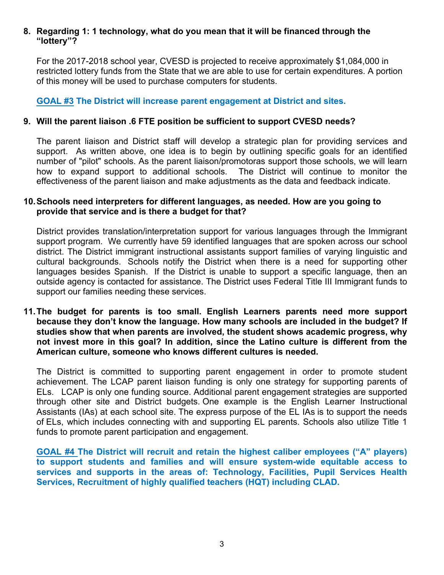# **8. Regarding 1: 1 technology, what do you mean that it will be financed through the "lottery"?**

For the 2017-2018 school year, CVESD is projected to receive approximately \$1,084,000 in restricted lottery funds from the State that we are able to use for certain expenditures. A portion of this money will be used to purchase computers for students.

**GOAL #3 The District will increase parent engagement at District and sites.**

# **9. Will the parent liaison .6 FTE position be sufficient to support CVESD needs?**

The parent liaison and District staff will develop a strategic plan for providing services and support. As written above, one idea is to begin by outlining specific goals for an identified number of "pilot" schools. As the parent liaison/promotoras support those schools, we will learn how to expand support to additional schools. The District will continue to monitor the effectiveness of the parent liaison and make adjustments as the data and feedback indicate.

## **10.Schools need interpreters for different languages, as needed. How are you going to provide that service and is there a budget for that?**

District provides translation/interpretation support for various languages through the Immigrant support program. We currently have 59 identified languages that are spoken across our school district. The District immigrant instructional assistants support families of varying linguistic and cultural backgrounds. Schools notify the District when there is a need for supporting other languages besides Spanish. If the District is unable to support a specific language, then an outside agency is contacted for assistance. The District uses Federal Title III Immigrant funds to support our families needing these services.

**11.The budget for parents is too small. English Learners parents need more support because they don't know the language. How many schools are included in the budget? If studies show that when parents are involved, the student shows academic progress, why not invest more in this goal? In addition, since the Latino culture is different from the American culture, someone who knows different cultures is needed.**

The District is committed to supporting parent engagement in order to promote student achievement. The LCAP parent liaison funding is only one strategy for supporting parents of ELs. LCAP is only one funding source. Additional parent engagement strategies are supported through other site and District budgets. One example is the English Learner Instructional Assistants (IAs) at each school site. The express purpose of the EL IAs is to support the needs of ELs, which includes connecting with and supporting EL parents. Schools also utilize Title 1 funds to promote parent participation and engagement.

**GOAL #4 The District will recruit and retain the highest caliber employees ("A" players) to support students and families and will ensure system-wide equitable access to services and supports in the areas of: Technology, Facilities, Pupil Services Health Services, Recruitment of highly qualified teachers (HQT) including CLAD.**